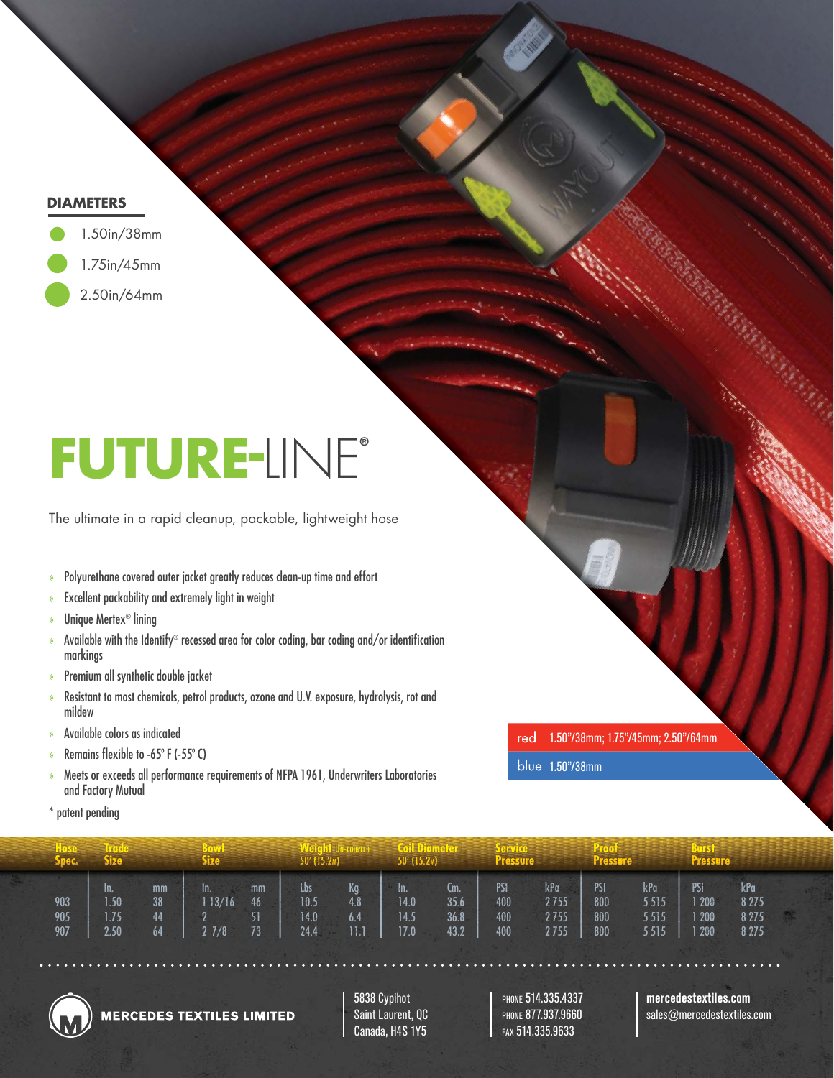# **DIAMETERS**



# **FUTURE-**LINE**®**

The ultimate in a rapid cleanup, packable, lightweight hose

- » Polyurethane covered outer jacket greatly reduces clean-up time and effort
- » Excellent packability and extremely light in weight
- » Unique Mertex® lining
- » Available with the Identify® recessed area for color coding, bar coding and/or identification markings
- » Premium all synthetic double jacket
- » Resistant to most chemicals, petrol products, ozone and U.V. exposure, hydrolysis, rot and mildew
- » Available colors as indicated
- » Remains flexible to -65 $\degree$  F (-55 $\degree$  C)
- » Meets or exceeds all performance requirements of NFPA 1961, Underwriters Laboratories and Factory Mutual
- \* patent pending

1.50"/38mm; 1.75"/45mm; 2.50"/64mm red

1.50"/38mm

| Spec.             | Size |                      |                                   | Size:                |                | 50' (15.2m).                |                           | $50'$ (15.2 <sub>M</sub> )    |                             | Pressure                 |                             | <b>Pressure</b>          |                             | 21 F.S<br><b>Pressure</b>      |                                      |  |
|-------------------|------|----------------------|-----------------------------------|----------------------|----------------|-----------------------------|---------------------------|-------------------------------|-----------------------------|--------------------------|-----------------------------|--------------------------|-----------------------------|--------------------------------|--------------------------------------|--|
| 903<br>905<br>907 | In.  | 1.50<br>1.75<br>2.50 | mm<br>38 <sup>°</sup><br>44<br>64 | In.<br>13/16<br>27/8 | mm<br>46<br>73 | Lbs<br>10.5<br>14.0<br>24.4 | Kg<br>4.8<br>6.4<br>$\Pi$ | - In.<br>14.0<br>14.5<br>17.0 | Cm.<br>35.6<br>36.8<br>43.2 | PSI<br>400<br>400<br>400 | kPa<br>2755<br>2755<br>2755 | PSI<br>800<br>800<br>800 | kPa<br>5515<br>5515<br>5515 | PSI<br>1 200<br>1 200<br>1 200 | kPa<br>8 2 7 5<br>8 2 7 5<br>8 2 7 5 |  |



**MERCEDES TEXTILES LIMITED** 

5838 Cypihot Saint Laurent, QC Canada, H4S 1Y5

PHONE 514.335.4337 PHONE 877.937.9660 FAX 514.335.9633

**mercedestextiles.com**

sales@mercedestextiles.com